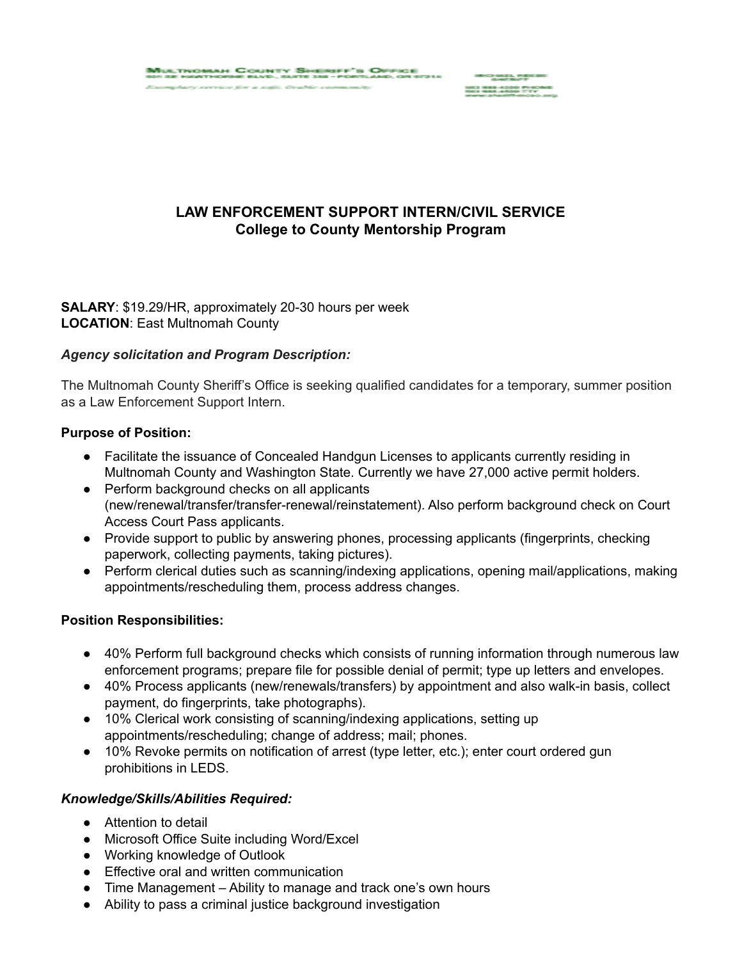Nultrichiah County Sheriff's Office<br>20 ab harthdrie blyd, alte 200 - fortland, or stall

ana ang kalendar na

# **LAW ENFORCEMENT SUPPORT INTERN/CIVIL SERVICE College to County Mentorship Program**

### **SALARY**: \$19.29/HR, approximately 20-30 hours per week **LOCATION**: East Multnomah County

### *Agency solicitation and Program Description:*

The Multnomah County Sheriff's Office is seeking qualified candidates for a temporary, summer position as a Law Enforcement Support Intern.

#### **Purpose of Position:**

- Facilitate the issuance of Concealed Handgun Licenses to applicants currently residing in Multnomah County and Washington State. Currently we have 27,000 active permit holders.
- Perform background checks on all applicants (new/renewal/transfer/transfer-renewal/reinstatement). Also perform background check on Court Access Court Pass applicants.
- Provide support to public by answering phones, processing applicants (fingerprints, checking paperwork, collecting payments, taking pictures).
- Perform clerical duties such as scanning/indexing applications, opening mail/applications, making appointments/rescheduling them, process address changes.

### **Position Responsibilities:**

- 40% Perform full background checks which consists of running information through numerous law enforcement programs; prepare file for possible denial of permit; type up letters and envelopes.
- 40% Process applicants (new/renewals/transfers) by appointment and also walk-in basis, collect payment, do fingerprints, take photographs).
- 10% Clerical work consisting of scanning/indexing applications, setting up appointments/rescheduling; change of address; mail; phones.
- 10% Revoke permits on notification of arrest (type letter, etc.); enter court ordered gun prohibitions in LEDS.

### *Knowledge/Skills/Abilities Required:*

- Attention to detail
- Microsoft Office Suite including Word/Excel
- Working knowledge of Outlook
- Effective oral and written communication
- Time Management Ability to manage and track one's own hours
- Ability to pass a criminal justice background investigation